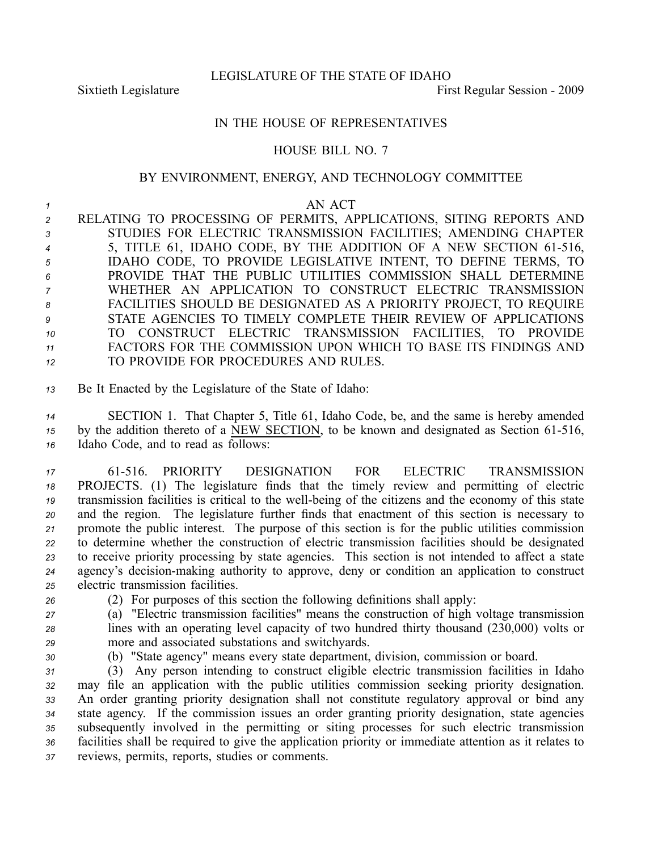LEGISLATURE OF THE STATE OF IDAHO

Sixtieth Legislature First Regular Session - 2009

## IN THE HOUSE OF REPRESENTATIVES

## HOUSE BILL NO. 7

## BY ENVIRONMENT, ENERGY, AND TECHNOLOGY COMMITTEE

## *1* AN ACT

 RELATING TO PROCESSING OF PERMITS, APPLICATIONS, SITING REPORTS AND STUDIES FOR ELECTRIC TRANSMISSION FACILITIES; AMENDING CHAPTER 5, TITLE 61, IDAHO CODE, BY THE ADDITION OF A NEW SECTION 61516, IDAHO CODE, TO PROVIDE LEGISLATIVE INTENT, TO DEFINE TERMS, TO PROVIDE THAT THE PUBLIC UTILITIES COMMISSION SHALL DETERMINE WHETHER AN APPLICATION TO CONSTRUCT ELECTRIC TRANSMISSION FACILITIES SHOULD BE DESIGNATED AS A PRIORITY PROJECT, TO REQUIRE STATE AGENCIES TO TIMELY COMPLETE THEIR REVIEW OF APPLICATIONS TO CONSTRUCT ELECTRIC TRANSMISSION FACILITIES, TO PROVIDE FACTORS FOR THE COMMISSION UPON WHICH TO BASE ITS FINDINGS AND TO PROVIDE FOR PROCEDURES AND RULES.

*<sup>13</sup>* Be It Enacted by the Legislature of the State of Idaho:

*<sup>14</sup>* SECTION 1. That Chapter 5, Title 61, Idaho Code, be, and the same is hereby amended <sup>15</sup> by the addition thereto of a NEW SECTION, to be known and designated as Section 61-516, *<sup>16</sup>* Idaho Code, and to read as follows:

 61516. PRIORITY DESIGNATION FOR ELECTRIC TRANSMISSION PROJECTS. (1) The legislature finds that the timely review and permitting of electric transmission facilities is critical to the well-being of the citizens and the economy of this state and the region. The legislature further finds that enactment of this section is necessary to promote the public interest. The purpose of this section is for the public utilities commission to determine whether the construction of electric transmission facilities should be designated to receive priority processing by state agencies. This section is not intended to affect <sup>a</sup> state 24 agency's decision-making authority to approve, deny or condition an application to construct electric transmission facilities.

- *<sup>26</sup>* (2) For purposes of this section the following definitions shall apply:
- *<sup>27</sup>* (a) "Electric transmission facilities" means the construction of high voltage transmission *<sup>28</sup>* lines with an operating level capacity of two hundred thirty thousand (230,000) volts or *<sup>29</sup>* more and associated substations and switchyards.
- 
- *<sup>30</sup>* (b) "State agency" means every state department, division, commission or board.

 (3) Any person intending to construct eligible electric transmission facilities in Idaho may file an application with the public utilities commission seeking priority designation. An order granting priority designation shall not constitute regulatory approval or bind any state agency. If the commission issues an order granting priority designation, state agencies subsequently involved in the permitting or siting processes for such electric transmission facilities shall be required to give the application priority or immediate attention as it relates to reviews, permits, reports, studies or comments.